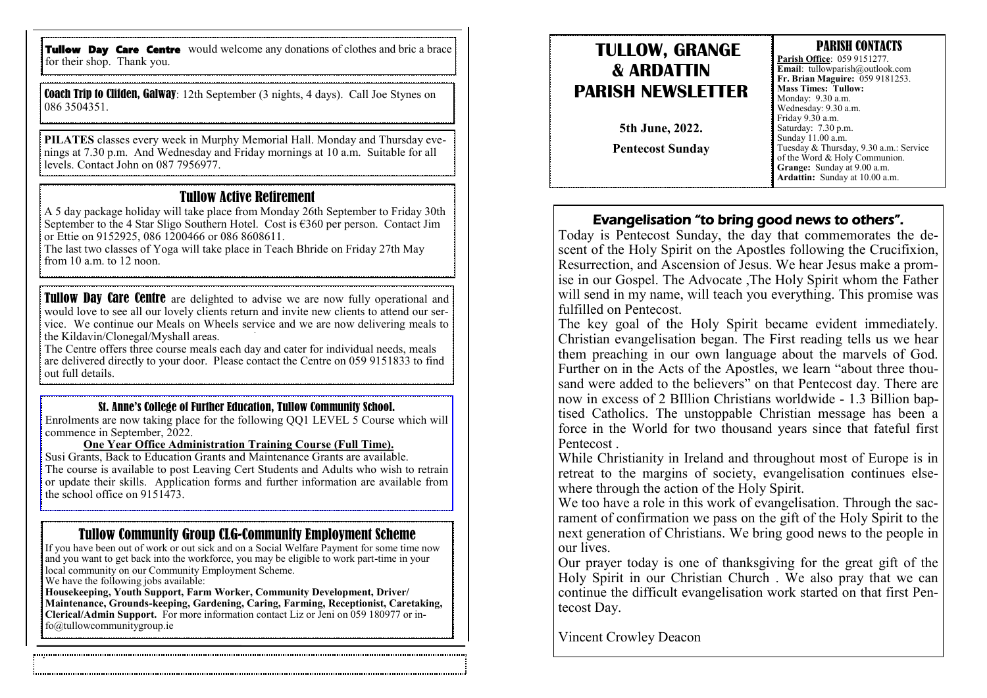Tullow Day Care Centre would welcome any donations of clothes and bric a brace for their shop. Thank you.

Coach Trip to Clifden, Galway: 12th September (3 nights, 4 days). Call Joe Stynes on 086 3504351.

**PILATES** classes every week in Murphy Memorial Hall. Monday and Thursday evenings at 7.30 p.m. And Wednesday and Friday mornings at 10 a.m. Suitable for all levels. Contact John on 087 7956977.

#### Tullow Active Retirement

A 5 day package holiday will take place from Monday 26th September to Friday 30th September to the 4 Star Sligo Southern Hotel. Cost is  $\epsilon$ 360 per person. Contact Jim or Ettie on 9152925, 086 1200466 or 086 8608611.

The last two classes of Yoga will take place in Teach Bhride on Friday 27th May from 10 a.m. to 12 noon.

**Tullow Day Care Centre** are delighted to advise we are now fully operational and would love to see all our lovely clients return and invite new clients to attend our service. We continue our Meals on Wheels service and we are now delivering meals to the Kildavin/Clonegal/Myshall areas.

The Centre offers three course meals each day and cater for individual needs, meals are delivered directly to your door. Please contact the Centre on 059 9151833 to find out full details.

#### St. Anne's College of Further Education, Tullow Community School.

Enrolments are now taking place for the following QQ1 LEVEL 5 Course which will commence in September, 2022.

#### **One Year Office Administration Training Course (Full Time).**

Susi Grants, Back to Education Grants and Maintenance Grants are available. The course is available to post Leaving Cert Students and Adults who wish to retrain or update their skills. Application forms and further information are available from the school office on 9151473.

#### Tullow Community Group CLG-Community Employment Scheme

If you have been out of work or out sick and on a Social Welfare Payment for some time now and you want to get back into the workforce, you may be eligible to work part-time in your local community on our Community Employment Scheme.

We have the following jobs available:

**Housekeeping, Youth Support, Farm Worker, Community Development, Driver/ Maintenance, Grounds-keeping, Gardening, Caring, Farming, Receptionist, Caretaking, Clerical/Admin Support.** For more information contact Liz or Jeni on 059 180977 or info@tullowcommunitygroup.ie

## **TULLOW, GRANGE & ARDATTIN PARISH NEWSLETTER 5th June, 2022.**

**Pentecost Sunday**

#### PARISH CONTACTS **Parish Office**: 059 9151277. **Email**: tullowparish@outlook.com **Fr. Brian Maguire:** 059 9181253. **Mass Times: Tullow:**  Monday: 9.30 a.m. Wednesday: 9.30 a.m. Friday 9.30 a.m. Saturday: 7.30 p.m. Sunday 11.00 a.m. Tuesday & Thursday, 9.30 a.m.: Service of the Word & Holy Communion. **Grange:** Sunday at 9.00 a.m. **Ardattin:** Sunday at 10.00 a.m.

#### Evangelisation "to bring good news to others".

Today is Pentecost Sunday, the day that commemorates the descent of the Holy Spirit on the Apostles following the Crucifixion, Resurrection, and Ascension of Jesus. We hear Jesus make a promise in our Gospel. The Advocate ,The Holy Spirit whom the Father will send in my name, will teach you everything. This promise was fulfilled on Pentecost.

The key goal of the Holy Spirit became evident immediately. Christian evangelisation began. The First reading tells us we hear them preaching in our own language about the marvels of God. Further on in the Acts of the Apostles, we learn "about three thousand were added to the believers" on that Pentecost day. There are now in excess of 2 BIllion Christians worldwide - 1.3 Billion baptised Catholics. The unstoppable Christian message has been a force in the World for two thousand years since that fateful first Pentecost .

While Christianity in Ireland and throughout most of Europe is in retreat to the margins of society, evangelisation continues elsewhere through the action of the Holy Spirit.

We too have a role in this work of evangelisation. Through the sacrament of confirmation we pass on the gift of the Holy Spirit to the next generation of Christians. We bring good news to the people in our lives.

Our prayer today is one of thanksgiving for the great gift of the Holy Spirit in our Christian Church . We also pray that we can continue the difficult evangelisation work started on that first Pentecost Day.

Vincent Crowley Deacon